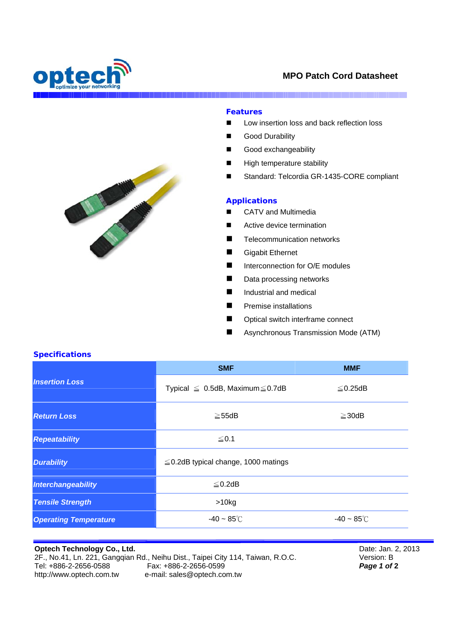

# **MPO Patch Cord Datasheet**

I

## **Features**

- Low insertion loss and back reflection loss
- Good Durability
- Good exchangeability
- High temperature stability
- Standard: Telcordia GR-1435-CORE compliant

#### **Applications**

- CATV and Multimedia
- Active device termination
- **Telecommunication networks**
- Gigabit Ethernet
- Interconnection for O/E modules
- Data processing networks
- Industrial and medical
- **Premise installations**
- Optical switch interframe connect
- Asynchronous Transmission Mode (ATM)

### **Specifications**

| <b>Insertion Loss</b>        | <b>SMF</b>                                 | <b>MMF</b>              |
|------------------------------|--------------------------------------------|-------------------------|
|                              | Typical $\leq$ 0.5dB, Maximum $\leq$ 0.7dB | $\leq$ 0.25dB           |
| <b>Return Loss</b>           | $\geq$ 55dB                                | $\geq$ 30dB             |
| <b>Repeatability</b>         | $≤ 0.1$                                    |                         |
| <b>Durability</b>            | $\leq$ 0.2dB typical change, 1000 matings  |                         |
| Interchangeability           | $\leq$ 0.2dB                               |                         |
| <b>Tensile Strength</b>      | $>10$ kg                                   |                         |
| <b>Operating Temperature</b> | $-40 \sim 85^{\circ}$ C                    | $-40 \sim 85^{\circ}$ C |

**Optech Technology Co., Ltd.**  2F., No.41, Ln. 221, Gangqian Rd., Neihu Dist., Taipei City 114, Taiwan, R.O.C.<br>Tel: +886-2-2656-0588 Fax: +886-2-2656-0599<br>http://www.optech.com.tw e-mail: sales@optech.com.tw e-mail: sales@optech.com.tw

Date: Jan. 2, 2013 Version: B *Page 1 of* **2**